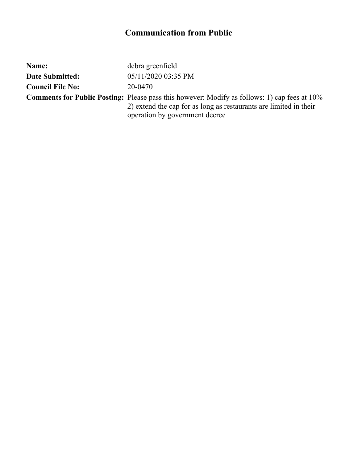| Name:                   | debra greenfield                                                                                                                                                                                           |
|-------------------------|------------------------------------------------------------------------------------------------------------------------------------------------------------------------------------------------------------|
| <b>Date Submitted:</b>  | 05/11/2020 03:35 PM                                                                                                                                                                                        |
| <b>Council File No:</b> | 20-0470                                                                                                                                                                                                    |
|                         | <b>Comments for Public Posting:</b> Please pass this however: Modify as follows: 1) cap fees at 10%<br>2) extend the cap for as long as restaurants are limited in their<br>operation by government decree |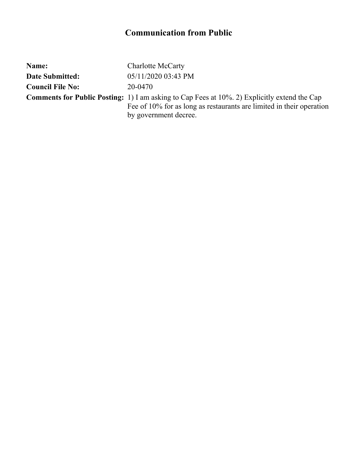| Name:                   | <b>Charlotte McCarty</b>                                                                                |
|-------------------------|---------------------------------------------------------------------------------------------------------|
| <b>Date Submitted:</b>  | 05/11/2020 03:43 PM                                                                                     |
| <b>Council File No:</b> | 20-0470                                                                                                 |
|                         | <b>Comments for Public Posting:</b> 1) I am asking to Cap Fees at $10\%$ . 2) Explicitly extend the Cap |
|                         | Fee of 10% for as long as restaurants are limited in their operation                                    |
|                         | by government decree.                                                                                   |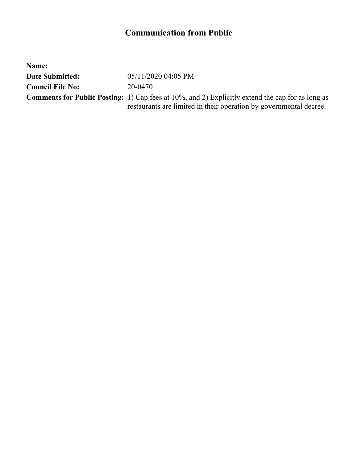| Name:                   |                                                                                                         |
|-------------------------|---------------------------------------------------------------------------------------------------------|
| <b>Date Submitted:</b>  | 05/11/2020 04:05 PM                                                                                     |
| <b>Council File No:</b> | 20-0470                                                                                                 |
|                         | <b>Comments for Public Posting:</b> 1) Cap fees at 10%, and 2) Explicitly extend the cap for as long as |
|                         | restaurants are limited in their operation by governmental decree.                                      |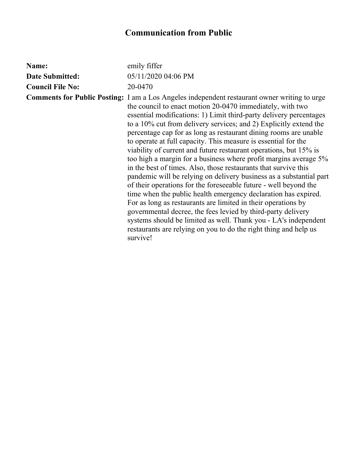| Name:                   | emily fiffer                                                                                                                                                                                                                                                                                                                                                                                                                                                                                                                                                                                                                                                                                                                                                                                                                                                                                                                                                                                                                                                                                                                                                   |
|-------------------------|----------------------------------------------------------------------------------------------------------------------------------------------------------------------------------------------------------------------------------------------------------------------------------------------------------------------------------------------------------------------------------------------------------------------------------------------------------------------------------------------------------------------------------------------------------------------------------------------------------------------------------------------------------------------------------------------------------------------------------------------------------------------------------------------------------------------------------------------------------------------------------------------------------------------------------------------------------------------------------------------------------------------------------------------------------------------------------------------------------------------------------------------------------------|
| <b>Date Submitted:</b>  | 05/11/2020 04:06 PM                                                                                                                                                                                                                                                                                                                                                                                                                                                                                                                                                                                                                                                                                                                                                                                                                                                                                                                                                                                                                                                                                                                                            |
| <b>Council File No:</b> | 20-0470                                                                                                                                                                                                                                                                                                                                                                                                                                                                                                                                                                                                                                                                                                                                                                                                                                                                                                                                                                                                                                                                                                                                                        |
|                         | <b>Comments for Public Posting:</b> I am a Los Angeles independent restaurant owner writing to urge<br>the council to enact motion 20-0470 immediately, with two<br>essential modifications: 1) Limit third-party delivery percentages<br>to a 10% cut from delivery services; and 2) Explicitly extend the<br>percentage cap for as long as restaurant dining rooms are unable<br>to operate at full capacity. This measure is essential for the<br>viability of current and future restaurant operations, but 15% is<br>too high a margin for a business where profit margins average 5%<br>in the best of times. Also, those restaurants that survive this<br>pandemic will be relying on delivery business as a substantial part<br>of their operations for the foreseeable future - well beyond the<br>time when the public health emergency declaration has expired.<br>For as long as restaurants are limited in their operations by<br>governmental decree, the fees levied by third-party delivery<br>systems should be limited as well. Thank you - LA's independent<br>restaurants are relying on you to do the right thing and help us<br>survive! |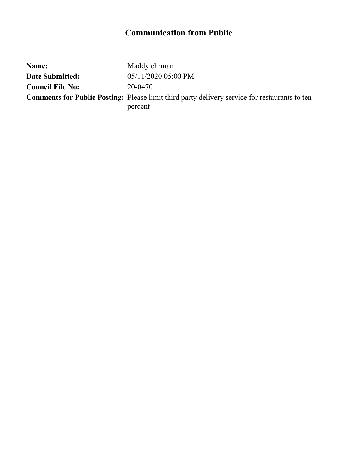| Name:                   | Maddy ehrman                                                                                         |
|-------------------------|------------------------------------------------------------------------------------------------------|
| Date Submitted:         | 05/11/2020 05:00 PM                                                                                  |
| <b>Council File No:</b> | 20-0470                                                                                              |
|                         | <b>Comments for Public Posting:</b> Please limit third party delivery service for restaurants to ten |
|                         | percent                                                                                              |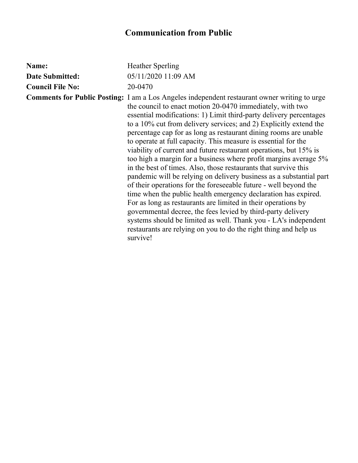| Name:                   | <b>Heather Sperling</b>                                                                                                                                                                                                                                                                                                                                                                                                                                                                                                                                                                                                                                                                                                                                                                                                                                                                                                                                                                                                                                                                                                                                        |
|-------------------------|----------------------------------------------------------------------------------------------------------------------------------------------------------------------------------------------------------------------------------------------------------------------------------------------------------------------------------------------------------------------------------------------------------------------------------------------------------------------------------------------------------------------------------------------------------------------------------------------------------------------------------------------------------------------------------------------------------------------------------------------------------------------------------------------------------------------------------------------------------------------------------------------------------------------------------------------------------------------------------------------------------------------------------------------------------------------------------------------------------------------------------------------------------------|
| <b>Date Submitted:</b>  | 05/11/2020 11:09 AM                                                                                                                                                                                                                                                                                                                                                                                                                                                                                                                                                                                                                                                                                                                                                                                                                                                                                                                                                                                                                                                                                                                                            |
| <b>Council File No:</b> | 20-0470                                                                                                                                                                                                                                                                                                                                                                                                                                                                                                                                                                                                                                                                                                                                                                                                                                                                                                                                                                                                                                                                                                                                                        |
|                         | <b>Comments for Public Posting:</b> I am a Los Angeles independent restaurant owner writing to urge<br>the council to enact motion 20-0470 immediately, with two<br>essential modifications: 1) Limit third-party delivery percentages<br>to a 10% cut from delivery services; and 2) Explicitly extend the<br>percentage cap for as long as restaurant dining rooms are unable<br>to operate at full capacity. This measure is essential for the<br>viability of current and future restaurant operations, but 15% is<br>too high a margin for a business where profit margins average 5%<br>in the best of times. Also, those restaurants that survive this<br>pandemic will be relying on delivery business as a substantial part<br>of their operations for the foreseeable future - well beyond the<br>time when the public health emergency declaration has expired.<br>For as long as restaurants are limited in their operations by<br>governmental decree, the fees levied by third-party delivery<br>systems should be limited as well. Thank you - LA's independent<br>restaurants are relying on you to do the right thing and help us<br>survive! |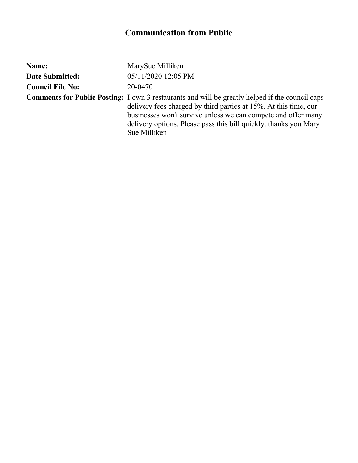| Name:                   | MarySue Milliken                                                                                                                                                                                                                                                                                                                |
|-------------------------|---------------------------------------------------------------------------------------------------------------------------------------------------------------------------------------------------------------------------------------------------------------------------------------------------------------------------------|
| <b>Date Submitted:</b>  | 05/11/2020 12:05 PM                                                                                                                                                                                                                                                                                                             |
| <b>Council File No:</b> | 20-0470                                                                                                                                                                                                                                                                                                                         |
|                         | <b>Comments for Public Posting:</b> I own 3 restaurants and will be greatly helped if the council caps<br>delivery fees charged by third parties at 15%. At this time, our<br>businesses won't survive unless we can compete and offer many<br>delivery options. Please pass this bill quickly, thanks you Mary<br>Sue Milliken |